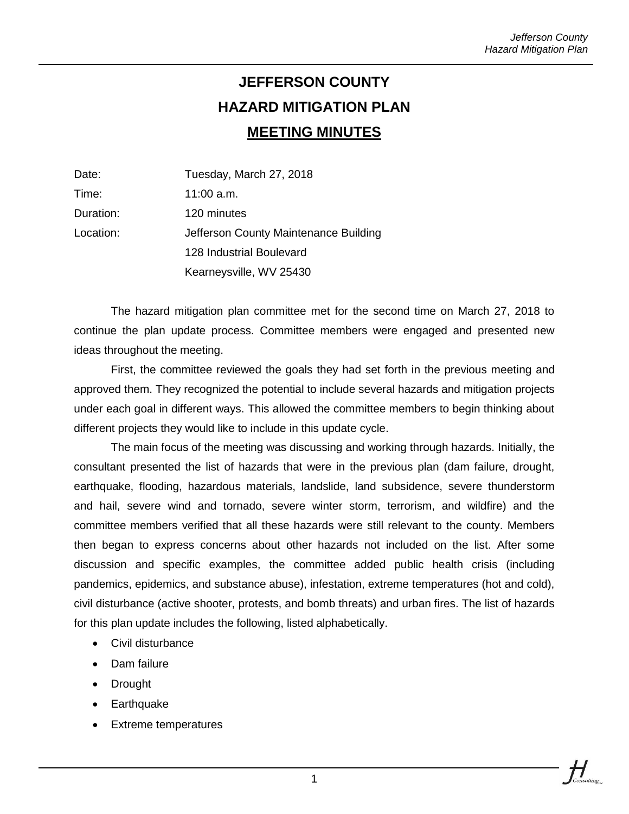## **JEFFERSON COUNTY HAZARD MITIGATION PLAN MEETING MINUTES**

| Date:     | Tuesday, March 27, 2018               |  |
|-----------|---------------------------------------|--|
| Time:     | $11:00$ a.m.                          |  |
| Duration: | 120 minutes                           |  |
| Location: | Jefferson County Maintenance Building |  |
|           | 128 Industrial Boulevard              |  |
|           | Kearneysville, WV 25430               |  |

The hazard mitigation plan committee met for the second time on March 27, 2018 to continue the plan update process. Committee members were engaged and presented new ideas throughout the meeting.

First, the committee reviewed the goals they had set forth in the previous meeting and approved them. They recognized the potential to include several hazards and mitigation projects under each goal in different ways. This allowed the committee members to begin thinking about different projects they would like to include in this update cycle.

The main focus of the meeting was discussing and working through hazards. Initially, the consultant presented the list of hazards that were in the previous plan (dam failure, drought, earthquake, flooding, hazardous materials, landslide, land subsidence, severe thunderstorm and hail, severe wind and tornado, severe winter storm, terrorism, and wildfire) and the committee members verified that all these hazards were still relevant to the county. Members then began to express concerns about other hazards not included on the list. After some discussion and specific examples, the committee added public health crisis (including pandemics, epidemics, and substance abuse), infestation, extreme temperatures (hot and cold), civil disturbance (active shooter, protests, and bomb threats) and urban fires. The list of hazards for this plan update includes the following, listed alphabetically.

- Civil disturbance
- Dam failure
- Drought
- Earthquake
- Extreme temperatures

 $H_{\parallel}$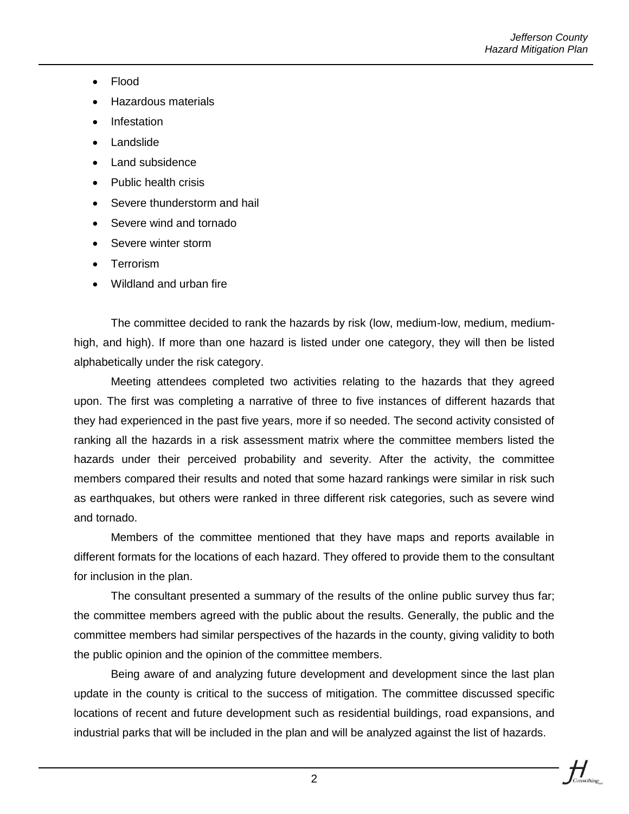- Flood
- Hazardous materials
- Infestation
- Landslide
- Land subsidence
- Public health crisis
- Severe thunderstorm and hail
- Severe wind and tornado
- Severe winter storm
- Terrorism
- Wildland and urban fire

The committee decided to rank the hazards by risk (low, medium-low, medium, mediumhigh, and high). If more than one hazard is listed under one category, they will then be listed alphabetically under the risk category.

Meeting attendees completed two activities relating to the hazards that they agreed upon. The first was completing a narrative of three to five instances of different hazards that they had experienced in the past five years, more if so needed. The second activity consisted of ranking all the hazards in a risk assessment matrix where the committee members listed the hazards under their perceived probability and severity. After the activity, the committee members compared their results and noted that some hazard rankings were similar in risk such as earthquakes, but others were ranked in three different risk categories, such as severe wind and tornado.

Members of the committee mentioned that they have maps and reports available in different formats for the locations of each hazard. They offered to provide them to the consultant for inclusion in the plan.

The consultant presented a summary of the results of the online public survey thus far; the committee members agreed with the public about the results. Generally, the public and the committee members had similar perspectives of the hazards in the county, giving validity to both the public opinion and the opinion of the committee members.

Being aware of and analyzing future development and development since the last plan update in the county is critical to the success of mitigation. The committee discussed specific locations of recent and future development such as residential buildings, road expansions, and industrial parks that will be included in the plan and will be analyzed against the list of hazards.